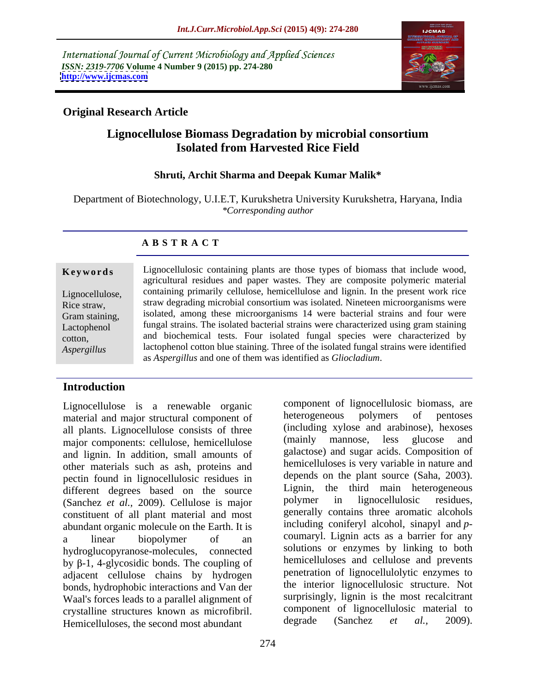International Journal of Current Microbiology and Applied Sciences *ISSN: 2319-7706* **Volume 4 Number 9 (2015) pp. 274-280 <http://www.ijcmas.com>**



### **Original Research Article**

### **Lignocellulose Biomass Degradation by microbial consortium Isolated from Harvested Rice Field**

### **Shruti, Archit Sharma and Deepak Kumar Malik\***

Department of Biotechnology, U.I.E.T, Kurukshetra University Kurukshetra, Haryana, India *\*Corresponding author*

### **A B S T R A C T**

*Aspergillus*

Lignocellulosic containing plants are those types of biomass that include wood, agricultural residues and paper wastes. They arecomposite polymeric material Lignocellulose, containing primarily cellulose, hemicellulose and lignin. In the present work rice straw degrading microbial consortium was isolated. Nineteen microorganisms were Rice straw, Gram staining, isolated, among these microorganisms 14 were bacterial strains and four were Lactophenol fungal strains. The isolated bacterial strains were characterized using gram staining and biochemical tests. Four isolated fungal species were characterized by cotton, lactophenol cotton blue staining. Three of the isolated fungal strains were identified **Example 19 Example 19 Example 19 Example 19 Example 19 Example 19 Example 19 Example 19 Example 19 Containing primarily cellulose, hemicellulose and lignin. In the present work rice Rice straw, straw degrading microbial c** 

### **Introduction**

Lignocellulose is a renewable organic component of lignocellulosic biomass, are<br>material and major structural component of the hearing help polymers of pentoses material and major structural component of all plants. Lignocellulose consists of three (including xylose and arabinose), hexoses<br>major components: cellulose hemicellulose (mainly mannose, less glucose and major components: cellulose, hemicellulose and lignin. In addition, small amounts of other materials such as ash, proteins and pectin found in lignocellulosic residues in different degrees based on the source Lignin, the third main heterogeneous<br>(Sanchez et al. 2009) Cellulose is major polymer in lignocellulosic residues, (Sanchez *et al.,* 2009). Cellulose is major constituent of all plant material and most abundant organic molecule on the Earth. It is a linear biopolymer of an coumaryl. Lignin acts as a barrier for any hydroglucopyranose-molecules, connected by  $\beta$ -1, 4-glycosidic bonds. The coupling of adjacent cellulose chains by hydrogen bonds, hydrophobic interactions and Van der Waal's forces leads to a parallel alignment of crystalline structures known as microfibril. Component of lignocellulosic material to<br>Hemicelluloses the second most abundant degrade (Sanchez *et al.*, 2009). Hemicelluloses, the second most abundant

component of lignocellulosic biomass, are heterogeneous polymers of pentoses (including xylose and arabinose), hexoses (mainly mannose, less glucose and galactose) and sugar acids. Composition of hemicelluloses is very variable in nature and depends on the plant source (Saha, 2003). Lignin, the third main heterogeneous polymer in lignocellulosic residues, generally contains three aromatic alcohols including coniferyl alcohol, sinapyl and *p* coumaryl. Lignin acts as a barrier for any solutions or enzymes by linking to both hemicelluloses and cellulose and prevents penetration of lignocellulolytic enzymes to the interior lignocellulosic structure. Not surprisingly, lignin is the most recalcitrant component of lignocellulosic material to degrade (Sanchez *et al.,* 2009).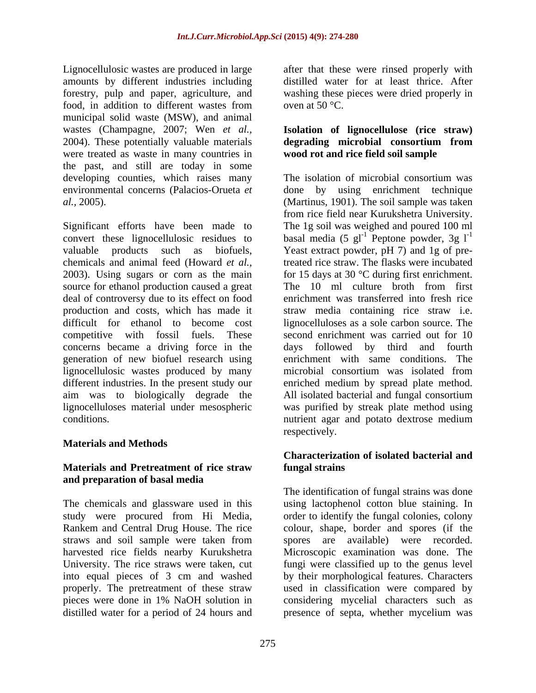Lignocellulosic wastes are produced in large after that these were rinsed properly with amounts by different industries including distilled water for at least thrice. After forestry, pulp and paper, agriculture, and food, in addition to different wastes from oven at  $50^{\circ}$ C. municipal solid waste (MSW), and animal wastes (Champagne, 2007; Wen *et al.*, 2004). These potentially valuable materials were treated as waste in many countries in the past, and still are today in some environmental concerns (Palacios-Orueta *et* 

Significant efforts have been made to The 1g soil was weighed and poured 100 ml convert these lignocellulosic residues to basal media (5 gl<sup>-1</sup> Peptone powder, 3g l<sup>-1</sup> valuable products such as biofuels, Yeast extract powder, pH 7) and 1g of prechemicals and animal feed (Howard *et al.,* treated rice straw. The flasks were incubated 2003). Using sugars or corn as the main for 15 days at 30 °C during first enrichment. source for ethanol production caused a great The 10 ml culture broth from first deal of controversy due to its effect on food production and costs, which has made it straw media containing rice straw i.e. difficult for ethanol to become cost lignocelluloses as a sole carbon source. The competitive with fossil fuels. These second enrichment was carried out for 10 concerns became a driving force in the days followed by third and fourth generation of new biofuel research using lignocellulosic wastes produced by many different industries. In the present study our enriched medium by spread plate method. aim was to biologically degrade the All isolated bacterial and fungal consortium lignocelluloses material under mesospheric was purified by streak plate method using

### **Materials and Methods**

### **Materials and Pretreatment of rice straw and preparation of basal media**

The chemicals and glassware used in this distilled water for a period of 24 hours and presence of septa, whether mycelium was

washing these pieces were dried properly in oven at 50  $^{\circ}$ C.

### degrading microbial consortium from **Isolation of lignocellulose (rice straw) degrading microbial consortium from wood rot and rice field soil sample**

developing counties, which raises many The isolation of microbial consortium was *al.,* 2005). (Martinus, 1901). The soil sample was taken conditions. nutrient agar and potato dextrose medium by using enrichment technique from rice field near Kurukshetra University. enrichment was transferred into fresh rice enrichment with same conditions. The microbial consortium was isolated from respectively.

### **Characterization of isolated bacterial and fungal strains**

study were procured from Hi Media, order to identify the fungal colonies, colony Rankem and Central Drug House. The rice colour, shape, border and spores (if the straws and soil sample were taken from harvested rice fields nearby Kurukshetra Microscopic examination was done. The University. The rice straws were taken, cut fungi were classified up to the genus level into equal pieces of 3 cm and washed by their morphological features. Characters properly. The pretreatment of these straw used in classification were compared by pieces were done in 1% NaOH solution in considering mycelial characters such as The identification of fungal strains was done using lactophenol cotton blue staining. In spores are available) were recorded. presence of septa, whether mycelium was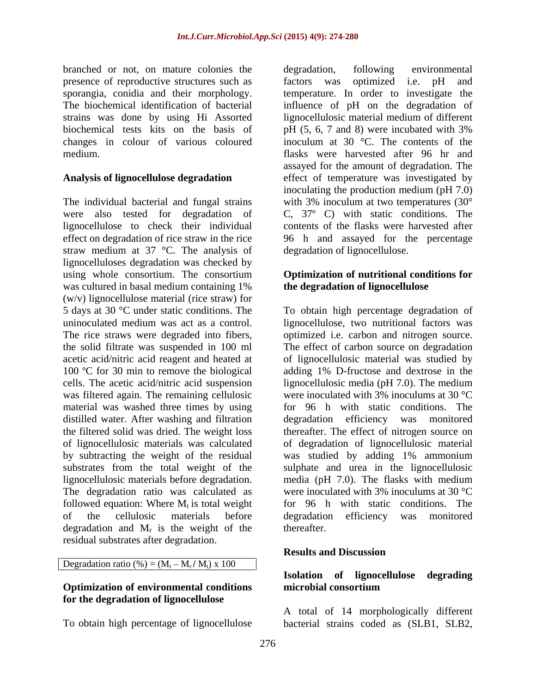branched or not, on mature colonies the presence of reproductive structures such as factors was optimized i.e. pH and The biochemical identification of bacterial biochemical tests kits on the basis of pH (5, 6, 7 and 8) were incubated with 3%

The individual bacterial and fungal strains were also tested for degradation of straw medium at 37 °C. The analysis of lignocelluloses degradation was checked by using whole consortium. The consortium **Optimization of nutritional conditions for** was cultured in basal medium containing 1% (w/v) lignocellulose material (rice straw) for the solid filtrate was suspended in 100 ml 100 ºC for 30 min to remove the biological material was washed three times by using followed equation: Where  $M_t$  is total weight<br>of the cellulosic materials before degradation and  $M_r$  is the weight of the thereafter. residual substrates after degradation.

Degradation ratio (%) =  $(M_t - M_r / M_t)$  x 100  $M_r / M_t$ ) x 100

### **Optimization of environmental conditions for the degradation of lignocellulose**

To obtain high percentage of lignocellulose bacterial strains coded as (SLB1, SLB2,

sporangia, conidia and their morphology. temperature. In order to investigate the strains was done by using Hi Assorted lignocellulosic material medium of different changes in colour of various coloured inoculum at 30 °C. The contents of the medium. flasks were harvested after 96 hr and **Analysis of lignocellulose degradation** effect of temperature was investigated by lignocellulose to check their individual contents of the flasks were harvested after effect on degradation of rice straw in the rice 96 h and assayed for the percentage degradation, following environmental factors was optimized i.e. pH and influence of pH on the degradation of pH (5, 6, 7 and 8) were incubated with 3% assayed for the amount of degradation. The inoculating the production medium (pH 7.0) with 3% inoculum at two temperatures (30°) C, 37º C) with static conditions. The degradation of lignocellulose.

## **the degradation of lignocellulose**

5 days at 30 °C under static conditions. The To obtain high percentage degradation of uninoculated medium was act as a control. lignocellulose, two nutritional factors was The rice straws were degraded into fibers, optimized i.e. carbon and nitrogen source. acetic acid/nitric acid reagent and heated at of lignocellulosic material was studied by cells. The acetic acid/nitric acid suspension lignocellulosic media (pH 7.0). The medium was filtered again. The remaining cellulosic were inoculated with 3% inoculums at 30 °C distilled water. After washing and filtration degradation efficiency was monitored the filtered solid was dried. The weight loss thereafter. The effect of nitrogen source on of lignocellulosic materials was calculated of degradation of lignocellulosic material by subtracting the weight of the residual was studied by adding 1% ammonium substrates from the total weight of the sulphate and urea in the lignocellulosic lignocellulosic materials before degradation. media (pH 7.0). The flasks with medium The degradation ratio was calculated as were inoculated with 3% inoculums at 30 °C of the cellulosic materials before degradation efficiency was monitored is the weight of the thereafter. The effect of carbon source on degradation adding 1% D-fructose and dextrose in the for 96 h with static conditions. The for 96 h with static conditions. The degradation efficiency was monitored thereafter.

### **Results and Discussion**

### **Isolation of lignocellulose degrading microbial consortium**

A total of 14 morphologically different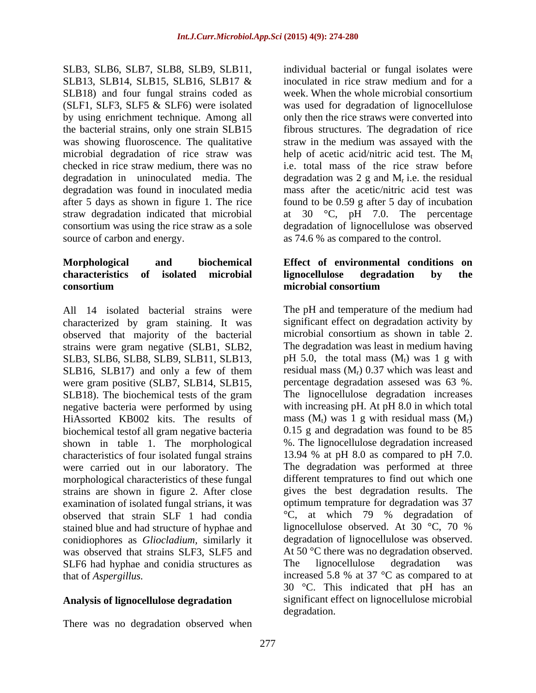SLB3, SLB6, SLB7, SLB8, SLB9, SLB11, SLB13, SLB14, SLB15, SLB16, SLB17 & inoculated in rice straw medium and for a SLB18) and four fungal strains coded as

All 14 isolated bacterial strains were characterized by gram staining. It was significant effect on degradation activity by observed that maiority of the bacterial microbial consortium as shown in table 2. observed that majority of the bacterial strains were gram negative (SLB1, SLB2, The degradation was least in medium having SLB3, SLB6, SLB8, SLB9, SLB11, SLB13, SLB16, SLB17) and only a few of them were gram positive (SLB7, SLB14, SLB15, negative bacteria were performed by using HiAssorted KB002 kits. The results of biochemical testof all gram negative bacteria shown in table 1. The morphological characteristics of four isolated fungal strains were carried out in our laboratory. The morphological characteristics of these fungal examination of isolated fungal strians, it was stained blue and had structure of hyphae and lignocellulose observed. At 30 °C, 70 % SLF6 had hyphae and conidia structures as The lignocellulose degradation was

There was no degradation observed when

(SLF1, SLF3, SLF5 & SLF6) were isolated was used for degradation of lignocellulose by using enrichment technique. Among all only then the rice straws were converted into the bacterial strains, only one strain SLB15 fibrous structures. The degradation of rice was showing fluoroscence. The qualitative straw in the medium was assayed with the microbial degradation of rice straw was help of acetic acid/nitric acid test. The  $M_t$ checked in rice straw medium, there was no i.e. total mass of the rice straw before degradation in uninoculated media. The degradation was 2 g and  $M_r$  i.e. the residual degradation was found in inoculated media mass after the acetic/nitric acid test was after 5 days as shown in figure 1. The rice found to be 0.59 g after 5 day of incubation straw degradation indicated that microbial at 30 °C, pH 7.0. The percentage consortium was using the rice straw as a sole degradation of lignocellulose was observed source of carbon and energy.  $\frac{a}{3}$  as 74.6 % as compared to the control. individual bacterial or fungal isolates were inoculated in rice straw medium and for a week. When the whole microbial consortium

### **Morphological and biochemical Effect of environmental conditions on characteristics of isolated microbial consortium consortium consortium consortium lignocellulose degradation by the microbial consortium**

SLB18). The biochemical tests of the gram The lignocellulose degradation increases strains are shown in figure 2. After close gives the best degradation results. The observed that strain SLF 1 had condia °C, at which 79 % degradation of conidiophores as *Gliocladium,* similarly it degradation of lignocellulose was observed. was observed that strains SLF3, SLF5 and At 50 °C there was no degradation observed. that of *Aspergillus.* increased 5.8 % at 37 °C as compared to at **Analysis of lignocellulose degradation** significant effect on lignocellulose microbial The pH and temperature of the medium had significant effect on degradation activity by microbial consortium as shown in table 2. The degradation was least in medium having pH 5.0, the total mass  $(M_t)$  was 1 g with residual mass  $(M_r)$  0.37 which was least and ) 0.37 which was least and percentage degradation assesed was 63 %. The lignocellulose degradation increases with increasing pH. At pH 8.0 in which total mass  $(M_t)$  was 1 g with residual mass  $(M_r)$ ) 0.15 g and degradation was found to be 85 %. The lignocellulose degradation increased 13.94 % at pH 8.0 as compared to pH 7.0. The degradation was performed at three different tempratures to find out which one optimum temprature for degradation was 37 lignocellulose observed. At 30 °C, 70 % The lignocellulose degradation was 30 °C. This indicated that pH has an degradation.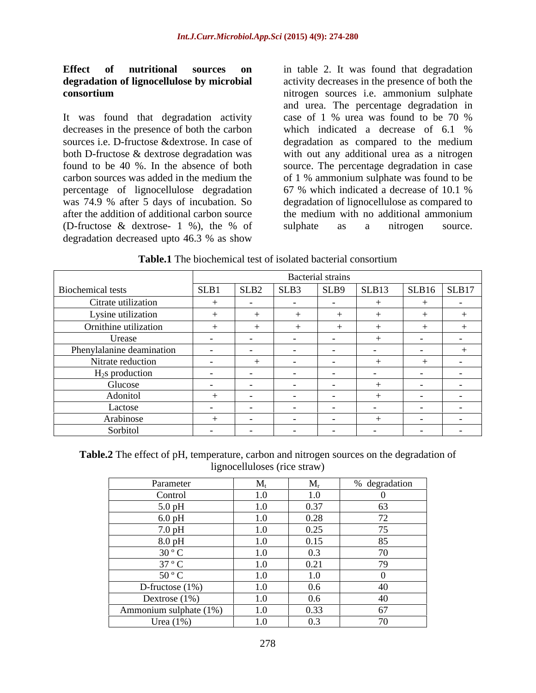# **Effect of nutritional sources on** in table 2. It was found that degradation

decreases in the presence of both the carbon<br>sources i.e. D-fructose & dextrose. In case of degradation as compared to the medium percentage of lignocellulose degradation 67 % which indicated a decrease of 10.1 % degradation decreased upto 46.3 % as show

**degradation of lignocellulose by microbial** activity decreases in the presence of both the **consortium** nitrogen sources i.e. ammonium sulphate It was found that degradation activity case of 1 % urea was found to be 70 % sources i.e. D-fructose &dextrose. In case of degradation as compared to the medium both D-fructose & dextrose degradation was with out any additional urea as a nitrogen found to be 40 %. In the absence of both source. The percentage degradation in case carbon sources was added in the medium the of 1 % ammonium sulphate was found to be was 74.9 % after 5 days of incubation. So degradation of lignocellulose as compared to after the addition of additional carbon source the medium with no additional ammonium (D-fructose & dextrose- 1 %), the % of and urea. The percentage degradation in case of 1 % urea was found to be 70 % which indicated a decrease of 6.1 % 67 % which indicated a decrease of 10.1 % sulphate as a nitrogen source.

|                           |        |                  |      | <b>Bacterial strains</b> |        |        |                          |
|---------------------------|--------|------------------|------|--------------------------|--------|--------|--------------------------|
| Biochemical tests         | SLB1   | SLB <sub>2</sub> | SLB3 | SLB9                     | SLB13  | SLB16  | SLB17                    |
| Citrate utilization       |        |                  |      |                          |        |        |                          |
| Lysine utilization        |        |                  |      |                          |        |        |                          |
| Ornithine utilization     |        |                  |      |                          |        |        |                          |
| Urease                    |        |                  |      |                          |        |        | $-$                      |
| Phenylalanine deamination |        |                  |      |                          |        |        |                          |
| Nitrate reduction         | $\sim$ |                  |      |                          |        |        |                          |
| $H_2$ s production        | $\sim$ |                  |      |                          |        | $\sim$ | $\overline{\phantom{0}}$ |
| Glucose                   |        |                  |      |                          |        |        |                          |
| Adonitol                  |        |                  |      |                          |        |        |                          |
| Lactose                   |        |                  |      |                          |        |        |                          |
| Arabinose                 |        |                  |      |                          |        |        |                          |
| Sorbitol                  | $\sim$ | $\sim$           | $-$  |                          | $\sim$ | $ -$   | $\sim$ $\sim$            |

**Table.1** The biochemical test of isolated bacterial consortium

**Table.2** The effect of pH, temperature, carbon and nitrogen sources on the degradation of lignocelluloses (rice straw)

| Parameter              | $\mathbf{M}$ | $\mathbf{r}$         | % degradation                    |
|------------------------|--------------|----------------------|----------------------------------|
| Control                | 1.0          | 1.0                  |                                  |
| $5.0$ pH               | 1.0          | 0.37                 | $\sim$<br>CO.                    |
| $6.0 \text{ pH}$       | 1.0          | 0.28                 | $\overline{a}$<br>$\sqrt{2}$     |
| $7.0\,\mathrm{pH}$     | 1.0          | 0.25                 | $ -$<br>$\overline{\phantom{a}}$ |
| $8.0 \text{ pH}$       | 1.0          | 0.15                 | 85                               |
| $30^{\circ}$ C         | 1.0          | $\sim$ $\sim$<br>U.5 | $\overline{\phantom{a}}$         |
| $37^{\circ}$ C         | 1.0          | 0.21                 | $70^{\circ}$                     |
| $50^{\circ}$ C         | 1.0          | 1.0                  |                                  |
| D-fructose $(1%)$      | 1.0          | $0.6\,$              | $\Lambda$                        |
| Dextrose $(1\%)$       | 1.0          | $0.6\,$              |                                  |
| Ammonium sulphate (1%) | 1.0          | 0.33                 | 67                               |
| Urea $(1%)$            | 1.0          | $\Omega$             | $\overline{\phantom{a}}$         |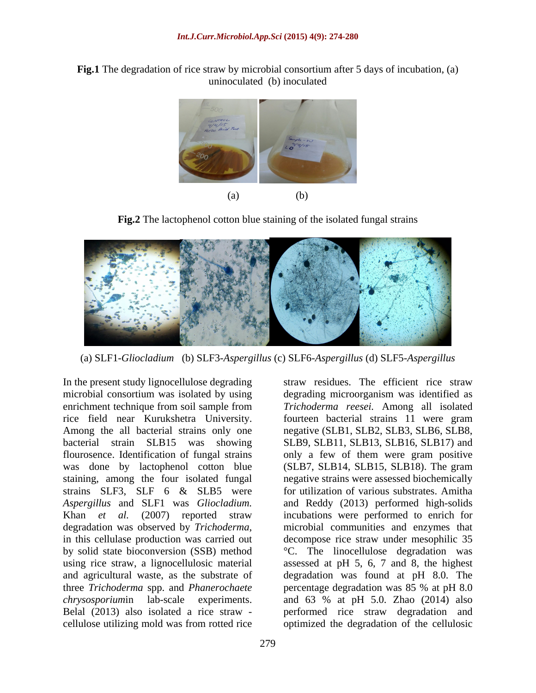**Fig.1** The degradation of rice straw by microbial consortium after 5 days of incubation, (a) uninoculated (b) inoculated



**Fig.2** The lactophenol cotton blue staining of the isolated fungal strains



(a) SLF1-*Gliocladium*(b) SLF3-*Aspergillus* (c) SLF6-*Aspergillus* (d) SLF5-*Aspergillus*

In the present study lignocellulose degrading straw residues. The efficient rice straw microbial consortium was isolated by using degrading microorganism was identified as enrichment technique from soil sample from *Trichoderma reesei.* Among all isolated rice field near Kurukshetra University. fourteen bacterial strains 11 were gram Among the all bacterial strains only one negative (SLB1, SLB2, SLB3, SLB6, SLB8, bacterial strain SLB15 was showing SLB9, SLB11, SLB13, SLB16, SLB17) and flourosence. Identification of fungal strains only a few of them were gram positive was done by lactophenol cotton blue (SLB7, SLB14, SLB15, SLB18). The gram staining, among the four isolated fungal negative strains were assessed biochemically strains SLF3, SLF 6 & SLB5 were for utilization of various substrates. Amitha *Aspergillus* and SLF1 was *Gliocladium.*  and Reddy (2013) performed high-solids Khan *et al.* (2007) reported straw degradation was observed by *Trichoderma*, inicrobial communities and enzymes that in this cellulase production was carried out decompose rice straw under mesophilic 35 by solid state bioconversion (SSB) method °C. The linocellulose degradation was using rice straw, a lignocellulosic material assessed at pH 5, 6, 7 and 8, the highest and agricultural waste, as the substrate of degradation was found at pH 8.0. The three *Trichoderma* spp. and *Phanerochaete* percentage degradation was 85 % at pH 8.0 *chrysosporium*in lab-scale experiments. and 63 % at pH 5.0. Zhao (2014) also Belal (2013) also isolated a rice straw - performed rice straw degradation and

cellulose utilizing mold was from rotted rice optimized the degradation of the cellulosicincubations were performed to enrich for microbial communities and enzymes that decompose rice straw under mesophilic 35